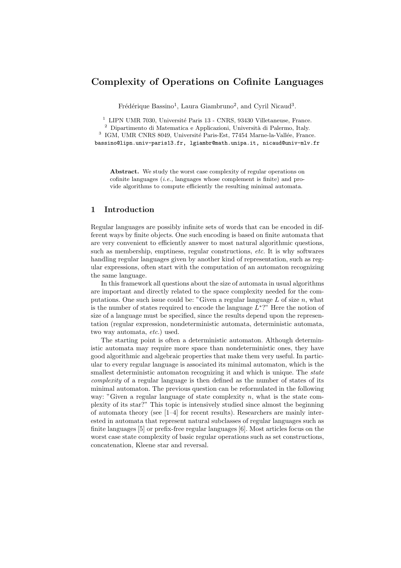# Complexity of Operations on Cofinite Languages

Frédérique Bassino<sup>1</sup>, Laura Giambruno<sup>2</sup>, and Cyril Nicaud<sup>3</sup>.

 $1$  LIPN UMR 7030, Université Paris 13 - CNRS, 93430 Villetaneuse, France.

 $2$  Dipartimento di Matematica e Applicazioni, Università di Palermo, Italy.

<sup>3</sup> IGM, UMR CNRS 8049, Université Paris-Est, 77454 Marne-la-Vallée, France. bassino@lipn.univ-paris13.fr, lgiambr@math.unipa.it, nicaud@univ-mlv.fr

Abstract. We study the worst case complexity of regular operations on cofinite languages (i.e., languages whose complement is finite) and provide algorithms to compute efficiently the resulting minimal automata.

# 1 Introduction

Regular languages are possibly infinite sets of words that can be encoded in different ways by finite objects. One such encoding is based on finite automata that are very convenient to efficiently answer to most natural algorithmic questions, such as membership, emptiness, regular constructions, *etc.* It is why softwares handling regular languages given by another kind of representation, such as regular expressions, often start with the computation of an automaton recognizing the same language.

In this framework all questions about the size of automata in usual algorithms are important and directly related to the space complexity needed for the computations. One such issue could be: "Given a regular language  $L$  of size  $n$ , what is the number of states required to encode the language  $L^*$ ?" Here the notion of size of a language must be specified, since the results depend upon the representation (regular expression, nondeterministic automata, deterministic automata, two way automata, *etc.*) used.

The starting point is often a deterministic automaton. Although deterministic automata may require more space than nondeterministic ones, they have good algorithmic and algebraic properties that make them very useful. In particular to every regular language is associated its minimal automaton, which is the smallest deterministic automaton recognizing it and which is unique. The *state complexity* of a regular language is then defined as the number of states of its minimal automaton. The previous question can be reformulated in the following way: "Given a regular language of state complexity  $n$ , what is the state complexity of its star?" This topic is intensively studied since almost the beginning of automata theory (see  $[1-4]$  for recent results). Researchers are mainly interested in automata that represent natural subclasses of regular languages such as finite languages [5] or prefix-free regular languages [6]. Most articles focus on the worst case state complexity of basic regular operations such as set constructions, concatenation, Kleene star and reversal.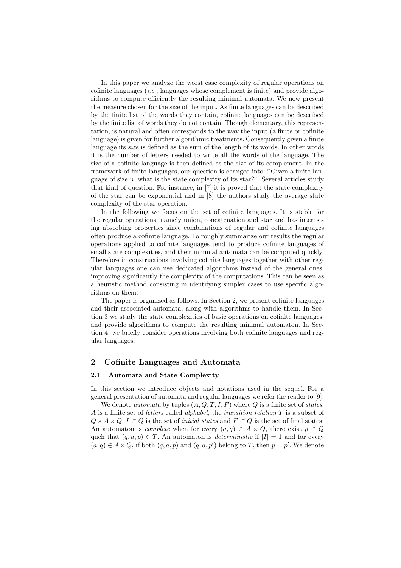In this paper we analyze the worst case complexity of regular operations on cofinite languages (*i.e.*, languages whose complement is finite) and provide algorithms to compute efficiently the resulting minimal automata. We now present the measure chosen for the size of the input. As finite languages can be described by the finite list of the words they contain, cofinite languages can be described by the finite list of words they do not contain. Though elementary, this representation, is natural and often corresponds to the way the input (a finite or cofinite language) is given for further algorithmic treatments. Consequently given a finite language its *size* is defined as the sum of the length of its words. In other words it is the number of letters needed to write all the words of the language. The size of a cofinite language is then defined as the size of its complement. In the framework of finite languages, our question is changed into: "Given a finite language of size  $n$ , what is the state complexity of its star?". Several articles study that kind of question. For instance, in [7] it is proved that the state complexity of the star can be exponential and in [8] the authors study the average state complexity of the star operation.

In the following we focus on the set of cofinite languages. It is stable for the regular operations, namely union, concatenation and star and has interesting absorbing properties since combinations of regular and cofinite languages often produce a cofinite language. To roughly summarize our results the regular operations applied to cofinite languages tend to produce cofinite languages of small state complexities, and their minimal automata can be computed quickly. Therefore in constructions involving cofinite languages together with other regular languages one can use dedicated algorithms instead of the general ones, improving significantly the complexity of the computations. This can be seen as a heuristic method consisting in identifying simpler cases to use specific algorithms on them.

The paper is organized as follows. In Section 2, we present cofinite languages and their associated automata, along with algorithms to handle them. In Section 3 we study the state complexities of basic operations on cofinite languages, and provide algorithms to compute the resulting minimal automaton. In Section 4, we briefly consider operations involving both cofinite languages and regular languages.

## 2 Cofinite Languages and Automata

### 2.1 Automata and State Complexity

In this section we introduce objects and notations used in the sequel. For a general presentation of automata and regular languages we refer the reader to [9].

We denote *automata* by tuples  $(A, Q, T, I, F)$  where Q is a finite set of *states*, A is a finite set of *letters* called *alphabet*, the *transition relation* T is a subset of  $Q \times A \times Q$ ,  $I \subset Q$  is the set of *initial states* and  $F \subset Q$  is the set of final states. An automaton is *complete* when for every  $(a,q) \in A \times Q$ , there exist  $p \in Q$ quch that  $(q, a, p) \in T$ . An automaton is *deterministic* if  $|I| = 1$  and for every  $(a,q) \in A \times Q$ , if both  $(q,a,p)$  and  $(q,a,p')$  belong to T, then  $p = p'$ . We denote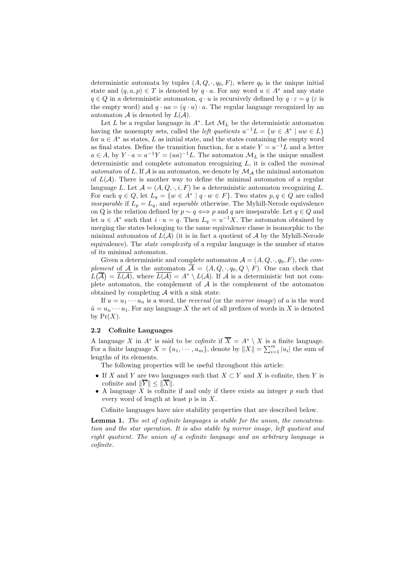deterministic automata by tuples  $(A, Q, \cdot, q_0, F)$ , where  $q_0$  is the unique initial state and  $(q, a, p) \in T$  is denoted by  $q \cdot a$ . For any word  $u \in A^*$  and any state  $q \in Q$  in a deterministic automaton,  $q \cdot u$  is recursively defined by  $q \cdot \varepsilon = q$  ( $\varepsilon$  is the empty word) and  $q \cdot ua = (q \cdot u) \cdot a$ . The regular language recognized by an automaton A is denoted by  $L(\mathcal{A})$ .

Let L be a regular language in  $A^*$ . Let  $\mathcal{M}_L$  be the deterministic automaton having the nonempty sets, called the *left quotients*  $u^{-1}L = \{w \in A^* \mid uw \in L\}$ for  $u \in A^*$  as states, L as initial state, and the states containing the empty word as final states. Define the transition function, for a state  $Y = u^{-1}L$  and a letter  $a \in A$ , by  $Y \cdot a = a^{-1}Y = (ua)^{-1}L$ . The automaton  $\mathcal{M}_L$  is the unique smallest deterministic and complete automaton recognizing L, it is called the *minimal automaton* of L. If  $\mathcal A$  is an automaton, we denote by  $\mathcal M_{\mathcal A}$  the minimal automaton of  $L(\mathcal{A})$ . There is another way to define the minimal automaton of a regular language L. Let  $\mathcal{A} = (A, Q, \cdot, i, F)$  be a deterministic automaton recognizing L. For each  $q \in Q$ , let  $L_q = \{w \in A^* \mid q \cdot w \in F\}$ . Two states  $p, q \in Q$  are called *inseparable* if  $L_p = L_q$ , and *separable* otherwise. The Myhill-Nerode equivalence on Q is the relation defined by  $p \sim q \iff p$  and q are inseparable. Let  $q \in Q$  and let  $u \in A^*$  such that  $i \cdot u = q$ . Then  $L_q = u^{-1}X$ . The automaton obtained by merging the states belonging to the same equivalence classe is isomorphic to the minimal automaton of  $L(\mathcal{A})$  (it is in fact a quotient of  $\mathcal{A}$  by the Myhill-Nerode equivalence). The *state complexity* of a regular language is the number of states of its minimal automaton.

Given a deterministic and complete automaton  $A = (A, Q, \cdot, q_0, F)$ , the *complement* of A is the automaton  $A = (A, Q, \cdot, q_0, Q \setminus F)$ . One can check that  $L(\overline{\mathcal{A}}) = \overline{L(\mathcal{A})}$ , where  $\overline{L(\mathcal{A})} = A^* \setminus L(\mathcal{A})$ . If  $\overline{\mathcal{A}}$  is a deterministic but not complete automaton, the complement of  $A$  is the complement of the automaton obtained by completing  $A$  with a sink state.

If  $u = u_1 \cdots u_n$  is a word, the *reversal* (or the *mirror image*) of u is the word  $\tilde{u} = u_n \cdots u_1$ . For any language X the set of all prefixes of words in X is denoted by  $Pr(X)$ .

#### 2.2 Cofinite Languages

A language X in  $A^*$  is said to be *cofinite* if  $\overline{X} = A^* \setminus X$  is a finite language. For a finite language  $X = \{u_1, \dots, u_m\}$ , denote by  $||X|| = \sum_{i=1}^m |u_i|$  the sum of lengths of its elements.

The following properties will be useful throughout this article:

- If X and Y are two languages such that  $X \subset Y$  and X is cofinite, then Y is cofinite and  $\|\overline{Y}\| \leq \|\overline{X}\|$ .
- A language  $\overline{X}$  is cofinite if and only if there exists an integer  $p$  such that every word of length at least  $p$  is in  $X$ .

Cofinite languages have nice stability properties that are described below.

Lemma 1. *The set of cofinite languages is stable for the union, the concatenation and the star operation. It is also stable by mirror image, left quotient and right quotient. The union of a cofinite language and an arbitrary language is cofinite.*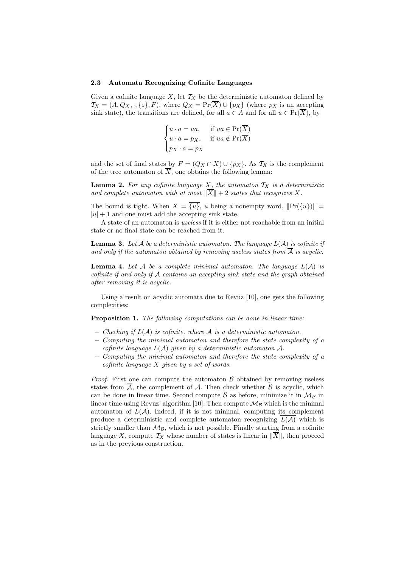#### 2.3 Automata Recognizing Cofinite Languages

Given a cofinite language X, let  $\mathcal{T}_X$  be the deterministic automaton defined by  $\mathcal{T}_X = (A, Q_X, \cdot, \{\varepsilon\}, F)$ , where  $Q_X = \Pr(\overline{X}) \cup \{p_X\}$  (where  $p_X$  is an accepting sink state), the transitions are defined, for all  $a \in A$  and for all  $u \in \Pr(\overline{X})$ , by

$$
\begin{cases} u \cdot a = ua, & \text{if } ua \in \text{Pr}(\overline{X}) \\ u \cdot a = px, & \text{if } ua \notin \text{Pr}(\overline{X}) \\ px \cdot a = px \end{cases}
$$

and the set of final states by  $F = (Q_X \cap X) \cup \{p_X\}$ . As  $\mathcal{T}_X$  is the complement of the tree automaton of  $\overline{X}$ , one obtains the following lemma:

**Lemma 2.** For any cofinite language  $\underline{X}$ , the automaton  $T_X$  is a deterministic and complete automaton with at most  $\|\overline{X}\| + 2$  *states that recognizes* X.

The bound is tight. When  $X = \overline{\{u\}}$ , u being a nonempty word,  $\|\Pr(\{u\})\|$  =  $|u| + 1$  and one must add the accepting sink state.

A state of an automaton is *useless* if it is either not reachable from an initial state or no final state can be reached from it.

**Lemma 3.** Let  $A$  be a deterministic automaton. The language  $L(A)$  is cofinite if and only if the automaton obtained by removing useless states from  $\overline{A}$  is acyclic.

Lemma 4. *Let* A *be a complete minimal automaton. The language* L(A) *is cofinite if and only if* A *contains an accepting sink state and the graph obtained after removing it is acyclic.*

Using a result on acyclic automata due to Revuz [10], one gets the following complexities:

Proposition 1. *The following computations can be done in linear time:*

- *Checking if* L(A) *is cofinite, where* A *is a deterministic automaton.*
- *Computing the minimal automaton and therefore the state complexity of a cofinite language* L(A) *given by a deterministic automaton* A*.*
- *Computing the minimal automaton and therefore the state complexity of a cofinite language* X *given by a set of words.*

*Proof.* First one can compute the automaton  $\beta$  obtained by removing useless states from  $\overline{A}$ , the complement of A. Then check whether  $\beta$  is acyclic, which can be done in linear time. Second compute  $\beta$  as before, minimize it in  $\mathcal{M}_{\beta}$  in linear time using Revuz' algorithm [10]. Then compute  $\overline{\mathcal{M}_{B}}$  which is the minimal automaton of  $L(\mathcal{A})$ . Indeed, if it is not minimal, computing its complement produce a deterministic and complete automaton recognizing  $L(\overline{\mathcal{A}})$  which is strictly smaller than  $M_{\mathcal{B}}$ , which is not possible. Finally starting from a cofinite language X, compute  $\mathcal{T}_X$  whose number of states is linear in  $\|\overline{X}\|$ , then proceed as in the previous construction.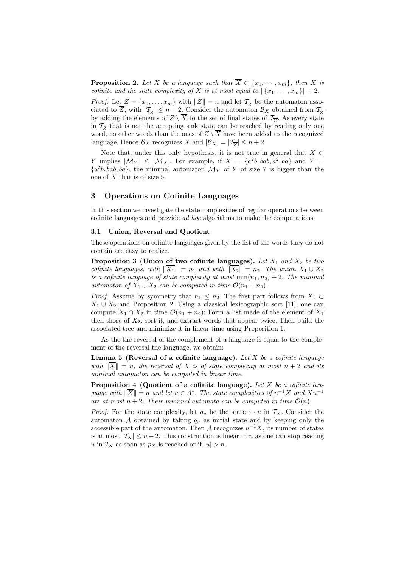**Proposition 2.** Let X be a language such that  $\overline{X} \subset \{x_1, \dots, x_m\}$ , then X is *cofinite and the state complexity of* X *is at most equal to*  $\|\{x_1, \dots, x_m\}\| + 2$ *.* 

*Proof.* Let  $Z = \{x_1, \ldots, x_m\}$  with  $||Z|| = n$  and let  $\mathcal{T}_{\overline{Z}}$  be the automaton associated to Z, with  $|\mathcal{T}_{\overline{Z}}| \leq n+2$ . Consider the automaton  $\mathcal{B}_X$  obtained from  $\mathcal{T}_{\overline{Z}}$ by adding the elements of  $Z \setminus X$  to the set of final states of  $\mathcal{T}_{\overline{Z}}$ . As every state in  $\mathcal{T}_{\overline{Z}}$  that is not the accepting sink state can be reached by reading only one word, no other words than the ones of  $Z \setminus \overline{X}$  have been added to the recognized language. Hence  $\mathcal{B}_X$  recognizes X and  $|\mathcal{B}_X| = |\mathcal{T}_{\overline{Z}}| \leq n+2$ .

Note that, under this only hypothesis, it is not true in general that  $X \subset$ Y implies  $|\mathcal{M}_Y| \leq |\mathcal{M}_X|$ . For example, if  $\overline{X} = \{a^2b, bab, a^2, ba\}$  and  $\overline{Y} =$  ${a^2b, bab, ba}$ , the minimal automaton  $\mathcal{M}_Y$  of Y of size 7 is bigger than the one of X that is of size 5.

### 3 Operations on Cofinite Languages

In this section we investigate the state complexities of regular operations between cofinite languages and provide *ad hoc* algorithms to make the computations.

### 3.1 Union, Reversal and Quotient

These operations on cofinite languages given by the list of the words they do not contain are easy to realize.

**Proposition 3** (Union of two cofinite languages). Let  $X_1$  and  $X_2$  be two *cofinite languages, with*  $\|\overline{X_1}\| = n_1$  *and with*  $\|\overline{X_2}\| = n_2$ . The union  $X_1 \cup X_2$ *is a cofinite language of state complexity at most*  $min(n_1, n_2) + 2$ *. The minimal automaton of*  $X_1 \cup X_2$  *can be computed in time*  $\mathcal{O}(n_1 + n_2)$ *.* 

*Proof.* Assume by symmetry that  $n_1 \leq n_2$ . The first part follows from  $X_1 \subset$  $X_1 \cup X_2$  and Proposition 2. Using a classical lexicographic sort [11], one can compute  $\overline{X_1} \cap \overline{X_2}$  in time  $\mathcal{O}(n_1 + n_2)$ : Form a list made of the element of  $\overline{X_1}$ then those of  $\overline{X_2}$ , sort it, and extract words that appear twice. Then build the associated tree and minimize it in linear time using Proposition 1.

As the the reversal of the complement of a language is equal to the complement of the reversal the language, we obtain:

Lemma 5 (Reversal of a cofinite language). *Let* X *be a cofinite language with*  $\|\overline{X}\| = n$ , the reversal of X is of state complexity at most  $n + 2$  and its *minimal automaton can be computed in linear time.*

Proposition 4 (Quotient of a cofinite language). *Let* X *be a cofinite language with*  $\|\overline{X}\| = n$  *and let*  $u \in A^*$ . The state complexities of  $u^{-1}X$  and  $Xu^{-1}$ *are at most*  $n + 2$ *. Their minimal automata can be computed in time*  $\mathcal{O}(n)$ *.* 

*Proof.* For the state complexity, let  $q_u$  be the state  $\varepsilon \cdot u$  in  $\mathcal{T}_X$ . Consider the automaton A obtained by taking  $q_u$  as initial state and by keeping only the accessible part of the automaton. Then  $A$  recognizes  $u^{-1}X$ , its number of states is at most  $|\mathcal{T}_X| \leq n+2$ . This construction is linear in n as one can stop reading u in  $T_X$  as soon as  $p_X$  is reached or if  $|u| > n$ .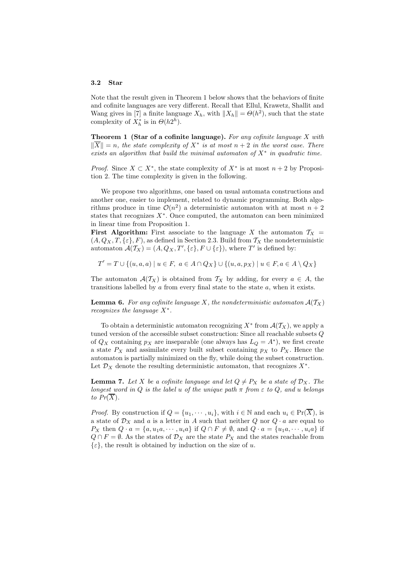#### 3.2 Star

Note that the result given in Theorem 1 below shows that the behaviors of finite and cofinite languages are very different. Recall that Ellul, Krawetz, Shallit and Wang gives in [7] a finite language  $X_h$ , with  $||X_h|| = \Theta(h^2)$ , such that the state complexity of  $X_h^*$  is in  $\Theta(h2^h)$ .

Theorem 1 (Star of a cofinite language). *For any cofinite language* X *with*  $\|\overline{X}\| = n$ , the state complexity of  $X^*$  is at most  $n + 2$  *in the worst case. There exists an algorithm that build the minimal automaton of* X<sup>∗</sup> *in quadratic time.*

*Proof.* Since  $X \subset X^*$ , the state complexity of  $X^*$  is at most  $n + 2$  by Proposition 2. The time complexity is given in the following.

We propose two algorithms, one based on usual automata constructions and another one, easier to implement, related to dynamic programming. Both algorithms produce in time  $\mathcal{O}(n^2)$  a deterministic automaton with at most  $n+2$ states that recognizes  $X^*$ . Once computed, the automaton can been minimized in linear time from Proposition 1.

First Algorithm: First associate to the language X the automaton  $T_X$  =  $(A, Q_X, T, \{\varepsilon\}, F)$ , as defined in Section 2.3. Build from  $T_X$  the nondeterministic automaton  $\mathcal{A}(\mathcal{T}_X) = (A, Q_X, T', \{\varepsilon\}, F \cup \{\varepsilon\})$ , where T' is defined by:

$$
T' = T \cup \{(u, a, a) \mid u \in F, a \in A \cap Q_X\} \cup \{(u, a, p_X) \mid u \in F, a \in A \setminus Q_X\}
$$

The automaton  $\mathcal{A}(\mathcal{T}_X)$  is obtained from  $\mathcal{T}_X$  by adding, for every  $a \in A$ , the transitions labelled by  $\alpha$  from every final state to the state  $\alpha$ , when it exists.

**Lemma 6.** For any cofinite language X, the nondeterministic automaton  $\mathcal{A}(\mathcal{T}_X)$ *recognizes the language* X<sup>∗</sup> *.*

To obtain a deterministic automaton recognizing  $X^*$  from  $\mathcal{A}(\mathcal{T}_X)$ , we apply a tuned version of the accessible subset construction: Since all reachable subsets Q of  $Q_X$  containing  $p_X$  are inseparable (one always has  $L_Q = A^*$ ), we first create a state  $P_X$  and assimilate every built subset containing  $p_X$  to  $P_X$ . Hence the automaton is partially minimized on the fly, while doing the subset construction. Let  $\mathcal{D}_X$  denote the resulting deterministic automaton, that recognizes  $X^*$ .

**Lemma 7.** Let X be a cofinite language and let  $Q \neq P_X$  be a state of  $\mathcal{D}_X$ . The *longest word in* Q *is the label* u *of the unique path* π *from* ε *to* Q*, and* u *belongs to Pr* $(\overline{X})$ *.* 

*Proof.* By construction if  $Q = \{u_1, \dots, u_i\}$ , with  $i \in \mathbb{N}$  and each  $u_i \in \text{Pr}(\overline{X})$ , is a state of  $\mathcal{D}_X$  and a is a letter in A such that neither Q nor  $Q \cdot a$  are equal to  $P_X$  then  $Q \cdot a = \{a, u_1a, \dots, u_ia\}$  if  $Q \cap F \neq \emptyset$ , and  $Q \cdot a = \{u_1a, \dots, u_ia\}$  if  $Q \cap F = \emptyset$ . As the states of  $\mathcal{D}_X$  are the state  $P_X$  and the states reachable from  $\{\varepsilon\}$ , the result is obtained by induction on the size of u.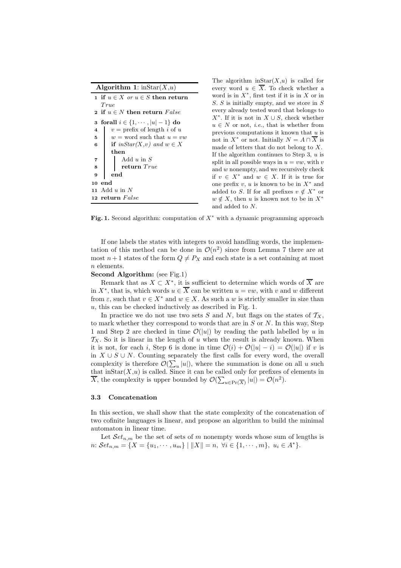|                         | Algorithm 1: $\mathrm{inStar}(X,u)$             |
|-------------------------|-------------------------------------------------|
|                         | 1 if $u \in X$ or $u \in S$ then return<br>True |
|                         | 2 if $u \in N$ then return False                |
|                         | 3 forall $i \in \{1, \dots,  u -1\}$ do         |
| $\overline{\mathbf{4}}$ | $v = \text{prefix of length } i \text{ of } u$  |
| 5                       | $w =$ word such that $u = vw$                   |
| 6                       | <b>if</b> in Star(X,v) and $w \in X$            |
|                         | then                                            |
| 7                       | Add $u$ in $S$                                  |
| 8                       | return $True$                                   |
| 9                       | end                                             |
| 10                      | end                                             |
|                         | 11 Add $u$ in $N$                               |
|                         | 12 return $False$                               |

The algorithm  $\operatorname{inStar}(X,u)$  is called for every word  $u \in \overline{X}$ . To check whether a word is in  $X^*$ , first test if it is in X or in S. S is initially empty, and we store in S every already tested word that belongs to  $X^*$ . If it is not in  $X \cup S$ , check whether  $u \in N$  or not, *i.e.*, that is whether from previous computations it known that u is not in  $X^*$  or not. Initially  $N = A \cap \overline{X}$  is made of letters that do not belong to X. If the algorithm continues to Step 3,  $u$  is split in all possible ways in  $u = vw$ , with v and  $w$  nonempty, and we recursively check if  $v \in X^*$  and  $w \in X$ . If it is true for one prefix  $v, u$  is known to be in  $X^*$  and added to S. If for all prefixes  $v \notin X^*$  or  $w \notin X$ , then u is known not to be in  $X^*$ and added to N.

Fig. 1. Second algorithm: computation of  $X^*$  with a dynamic programming approach

If one labels the states with integers to avoid handling words, the implementation of this method can be done in  $\mathcal{O}(n^2)$  since from Lemma 7 there are at most  $n+1$  states of the form  $Q \neq P_X$  and each state is a set containing at most n elements.

#### Second Algorithm: (see Fig.1)

Remark that as  $X \subset X^*$ , it is sufficient to determine which words of  $\overline{X}$  are in  $X^*$ , that is, which words  $u \in \overline{X}$  can be written  $u = vw$ , with v and w different from  $\varepsilon$ , such that  $v \in X^*$  and  $w \in X$ . As such a w is strictly smaller in size than  $u$ , this can be checked inductively as described in Fig. 1.

In practice we do not use two sets S and N, but flags on the states of  $T_X$ , to mark whether they correspond to words that are in  $S$  or  $N$ . In this way, Step 1 and Step 2 are checked in time  $\mathcal{O}(|u|)$  by reading the path labelled by u in  $\mathcal{T}_X$ . So it is linear in the length of u when the result is already known. When it is not, for each i, Step 6 is done in time  $\mathcal{O}(i) + \mathcal{O}(|u| - i) = \mathcal{O}(|u|)$  if v is in  $X \cup S \cup N$ . Counting separately the first calls for every word, the overall complexity is therefore  $\mathcal{O}(\sum_{u} |u|)$ , where the summation is done on all u such that  $\operatorname{inStar}(X,u)$  is called. Since it can be called only for prefixes of elements in  $\overline{X}$ , the complexity is upper bounded by  $\mathcal{O}(\sum_{u \in \text{Pr}(\overline{X})} |u|) = \mathcal{O}(n^2)$ .

### 3.3 Concatenation

In this section, we shall show that the state complexity of the concatenation of two cofinite languages is linear, and propose an algorithm to build the minimal automaton in linear time.

Let  $\mathcal{S}et_{n,m}$  be the set of sets of m nonempty words whose sum of lengths is n:  $Set_{n,m} = \{X = \{u_1, \dots, u_m\} \mid ||X|| = n, \forall i \in \{1, \dots, m\}, u_i \in A^*\}.$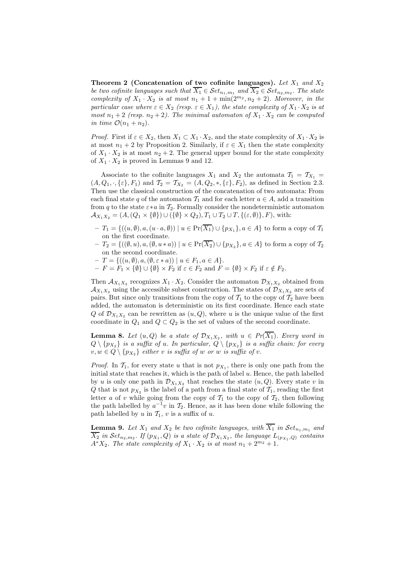Theorem 2 (Concatenation of two cofinite languages). Let  $X_1$  and  $X_2$ *be two cofinite languages such that*  $X_1 \in \mathcal{S}et_{n_1,m_1}$  *and*  $X_2 \in \mathcal{S}et_{n_2,m_2}$ *. The state complexity of*  $X_1 \cdot X_2$  *is at most*  $n_1 + 1 + \min(2^{m_2}, n_2 + 2)$ *. Moreover, in the particular case where*  $\varepsilon \in X_2$  *(resp.*  $\varepsilon \in X_1$ *), the state complexity of*  $X_1 \cdot X_2$  *is at most*  $n_1 + 2$  *(resp.*  $n_2 + 2$ *). The minimal automaton of*  $X_1 \cdot X_2$  *can be computed in time*  $\mathcal{O}(n_1 + n_2)$ *.* 

*Proof.* First if  $\varepsilon \in X_2$ , then  $X_1 \subset X_1 \cdot X_2$ , and the state complexity of  $X_1 \cdot X_2$  is at most  $n_1 + 2$  by Proposition 2. Similarly, if  $\varepsilon \in X_1$  then the state complexity of  $X_1 \cdot X_2$  is at most  $n_2 + 2$ . The general upper bound for the state complexity of  $X_1 \cdot X_2$  is proved in Lemmas 9 and 12.

Associate to the cofinite languages  $X_1$  and  $X_2$  the automata  $\mathcal{T}_1 = \mathcal{T}_{X_1}$  $(A, Q_1, \cdot, \{\varepsilon\}, F_1)$  and  $\mathcal{T}_2 = \mathcal{T}_{X_2} = (A, Q_2, \ast, \{\varepsilon\}, F_2)$ , as defined in Section 2.3. Then use the classical construction of the concatenation of two automata: From each final state q of the automaton  $\mathcal{T}_1$  and for each letter  $a \in A$ , add a transition from q to the state  $\varepsilon * a$  in  $\mathcal{T}_2$ . Formally consider the nondeterministic automaton  $\mathcal{A}_{X_1X_2} = (A, (Q_1 \times {\emptyset}) \cup ({\emptyset} \times Q_2), T_1 \cup T_2 \cup T, {(\varepsilon, \emptyset)}, F)$ , with:

- $-T_1 = \{((u, \emptyset), a, (u \cdot a, \emptyset)) \mid u \in Pr(\overline{X_1}) \cup \{p_{X_1}\}, a \in A\}$  to form a copy of  $\mathcal{T}_1$ on the first coordinate.
- $T_2 = \{((\emptyset, u), a, (\emptyset, u * a)) | u \in Pr(\overline{X_2}) \cup \{p_{X_2}\}, a \in A\}$  to form a copy of  $\mathcal{T}_2$ on the second coordinate.
- $T = \{((u, \emptyset), a, (\emptyset, \varepsilon * a)) \mid u \in F_1, a \in A\}.$
- $-F = F_1 \times {\emptyset} \cup {\emptyset} \times F_2$  if  $\varepsilon \in F_2$  and  $F = {\emptyset} \times F_2$  if  $\varepsilon \notin F_2$ .

Then  $\mathcal{A}_{X_1 X_2}$  recognizes  $X_1 \cdot X_2$ . Consider the automaton  $\mathcal{D}_{X_1 X_2}$  obtained from  $\mathcal{A}_{X_1X_2}$  using the accessible subset construction. The states of  $\mathcal{D}_{X_1X_2}$  are sets of pairs. But since only transitions from the copy of  $\mathcal{T}_1$  to the copy of  $\mathcal{T}_2$  have been added, the automaton is deterministic on its first coordinate. Hence each state Q of  $\mathcal{D}_{X_1 X_2}$  can be rewritten as  $(u, Q)$ , where u is the unique value of the first coordinate in  $Q_1$  and  $Q \subset Q_2$  is the set of values of the second coordinate.

**Lemma 8.** Let  $(u, Q)$  be a state of  $\mathcal{D}_{X_1 X_2}$ , with  $u \in Pr(X_1)$ . Every word in  $Q \setminus \{p_{X_2}\}\$ is a suffix of u. In particular,  $Q \setminus \{p_{X_2}\}\$ is a suffix chain: for every  $v, w \in Q \setminus \{p_{X_2}\}\$ either v is suffix of w or w is suffix of v.

*Proof.* In  $\mathcal{T}_1$ , for every state u that is not  $p_{X_1}$ , there is only one path from the initial state that reaches it, which is the path of label  $u$ . Hence, the path labelled by u is only one path in  $\mathcal{D}_{X_1 X_2}$  that reaches the state  $(u, Q)$ . Every state v in Q that is not  $p_{X_2}$  is the label of a path from a final state of  $\mathcal{T}_1$ , reading the first letter a of v while going from the copy of  $\mathcal{T}_1$  to the copy of  $\mathcal{T}_2$ , then following the path labelled by  $a^{-1}v$  in  $\mathcal{T}_2$ . Hence, as it has been done while following the path labelled by u in  $\mathcal{T}_1$ , v is a suffix of u.

**Lemma 9.** Let  $X_1$  and  $X_2$  be two cofinite languages, with  $\overline{X_1}$  in  $\mathcal{S}et_{n_1,m_1}$  and  $X_2$  in  $\mathcal{S}et_{n_2,m_2}$ . If  $(p_{X_1}, Q)$  is a state of  $\mathcal{D}_{X_1X_2}$ , the language  $L_{(p_{X_1}, Q)}$  contains  $A^*X_2$ *. The state complexity of*  $X_1 \cdot X_2$  *is at most*  $n_1 + 2^{m_2} + 1$ *.*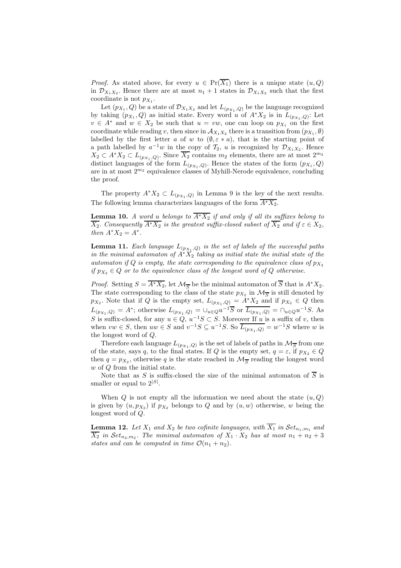*Proof.* As stated above, for every  $u \in \Pr(\overline{X_1})$  there is a unique state  $(u, Q)$ in  $\mathcal{D}_{X_1 X_2}$ . Hence there are at most  $n_1 + 1$  states in  $\mathcal{D}_{X_1 X_2}$  such that the first coordinate is not  $p_{X_1}$ .

Let  $(p_{X_1}, Q)$  be a state of  $\mathcal{D}_{X_1 X_2}$  and let  $L_{(p_{X_1}, Q)}$  be the language recognized by taking  $(p_{X_1}, Q)$  as initial state. Every word u of  $A^*X_2$  is in  $L_{(p_{X_1}, Q)}$ : Let  $v \in A^*$  and  $w \in X_2$  be such that  $u = vw$ , one can loop on  $p_{X_1}$  on the first coordinate while reading v, then since in  $\mathcal{A}_{X_1 X_2}$  there is a transition from  $(p_{X_1}, \emptyset)$ labelled by the first letter a of w to  $(\emptyset, \varepsilon * a)$ , that is the starting point of a path labelled by  $a^{-1}w$  in the copy of  $\mathcal{I}_2$ , u is recognized by  $\mathcal{D}_{X_1X_2}$ . Hence  $X_2 \subset A^* X_2 \subset L_{(p_{X_1},Q)}$ . Since  $\overline{X_2}$  contains  $m_2$  elements, there are at most  $2^{m_2}$ distinct languages of the form  $L_{(p_{X_1},Q)}$ . Hence the states of the form  $(p_{X_1}, Q)$ are in at most  $2^{m_2}$  equivalence classes of Myhill-Nerode equivalence, concluding the proof.

The property  $A^*X_2 \subset L_{(p_{X_1},Q)}$  in Lemma 9 is the key of the next results. The following lemma characterizes languages of the form  $\overline{A^*X_2}$ .

**Lemma 10.** *A word u belongs to*  $\overline{A^*X_2}$  *if and only if all its suffixes belong to*  $\overline{X_2}$ *. Consequently*  $\overline{A^*X_2}$  *is the greatest suffix-closed subset of*  $\overline{X_2}$  *and if*  $\varepsilon \in X_2$ *, then*  $A^*X_2 = A^*$ .

**Lemma 11.** Each language  $L_{(p_{X_1},Q)}$  is the set of labels of the successful paths *in the minimal automaton of*  $A^*X_2$  *taking as initial state the initial state of the automaton if* Q *is empty, the state corresponding to the equivalence class of*  $p_{X_2}$ *if*  $p_{X_2} \in Q$  *or to the equivalence class of the longest word of* Q *otherwise.* 

*Proof.* Setting  $S = \overline{A^*X_2}$ , let  $\mathcal{M}_{\overline{S}}$  be the minimal automaton of  $\overline{S}$  that is  $A^*X_2$ . The state corresponding to the class of the state  $p_{X_2}$  in  $\mathcal{M}_{\overline{S}}$  is still denoted by  $p_{X_2}$ . Note that if Q is the empty set,  $L_{(p_{X_1},Q)} = A^*X_2$  and if  $p_{X_2} \in Q$  then  $L_{(p_{X_1},Q)} = A^*$ ; otherwise  $L_{(p_{X_1},Q)} = \bigcup_{u \in Q} u^{-1} \overline{S}$  or  $\overline{L_{(p_{X_1},Q)}} = \bigcap_{u \in Q} u^{-1} S$ . As S is suffix-closed, for any  $u \in Q$ ,  $u^{-1}S \subset S$ . Moreover If u is a suffix of v, then when  $vw \in S$ , then  $uw \in S$  and  $v^{-1}S \subseteq u^{-1}S$ . So  $\overline{L_{(p_{X_1},Q)}} = w^{-1}S$  where w is the longest word of Q.

Therefore each language  $L_{(p_{X_1},Q)}$  is the set of labels of paths in  $\mathcal{M}_{\overline{S}}$  from one of the state, says q, to the final states. If Q is the empty set,  $q = \varepsilon$ , if  $p_{X_2} \in Q$ then  $q = p_{X_2}$ , otherwise q is the state reached in  $\mathcal{M}_{\overline{S}}$  reading the longest word w of Q from the initial state.

Note that as S is suffix-closed the size of the minimal automaton of  $\overline{S}$  is smaller or equal to  $2^{|S|}$ .

When Q is not empty all the information we need about the state  $(u, Q)$ is given by  $(u, p_{X_2})$  if  $p_{X_2}$  belongs to Q and by  $(u, w)$  otherwise, w being the longest word of Q.

**Lemma 12.** Let  $X_1$  and  $X_2$  be two cofinite languages, with  $\overline{X_1}$  in  $Set_{n_1,m_1}$  and  $X_2$  in  $Set_{n_2,m_2}$ . The minimal automaton of  $X_1 \cdot X_2$  has at most  $n_1 + n_2 + 3$ *states and can be computed in time*  $\mathcal{O}(n_1 + n_2)$ *.*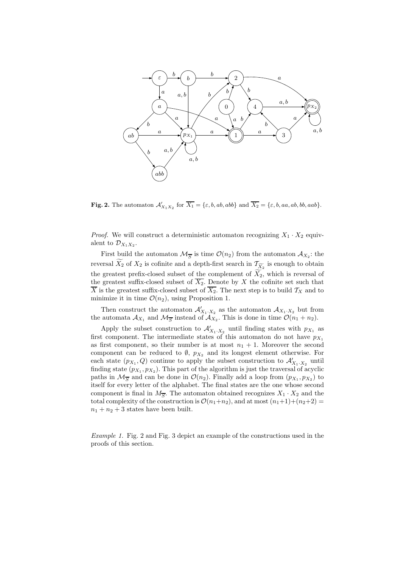

**Fig. 2.** The automaton  $\mathcal{A}'_{X_1X_2}$  for  $\overline{X_1} = {\varepsilon, b, ab, abb}$  and  $\overline{X_2} = {\varepsilon, b, aa, ab, bb, aab}.$ 

*Proof.* We will construct a deterministic automaton recognizing  $X_1 \cdot X_2$  equivalent to  $\mathcal{D}_{X_1 X_2}$ .

First build the automaton  $\mathcal{M}_{\overline{S}}$  is time  $\mathcal{O}(n_2)$  from the automaton  $\mathcal{A}_{X_2}$ : the reversal  $X_2$  of  $X_2$  is cofinite and a depth-first search in  $\mathcal{T}_{\widetilde{X}_2}$  is enough to obtain the greatest prefix-closed subset of the complement of  $\widetilde{X}_2$ , which is reversal of the greatest suffix-closed subset of  $\overline{X_2}$ . Denote by X the cofinite set such that  $\overline{X}$  is the greatest suffix-closed subset of  $\overline{X_2}$ . The next step is to build  $\mathcal{T}_X$  and to minimize it in time  $\mathcal{O}(n_2)$ , using Proposition 1.

Then construct the automaton  $\mathcal{A}'_{X_1 \cdot X_2}$  as the automaton  $\mathcal{A}_{X_1 \cdot X_2}$  but from the automata  $\mathcal{A}_{X_1}$  and  $\mathcal{M}_{\overline{S}}$  instead of  $\mathcal{A}_{X_2}$ . This is done in time  $\mathcal{O}(n_1 + n_2)$ .

Apply the subset construction to  $\mathcal{A}'_{X_1 \cdot X_2}$  until finding states with  $p_{X_1}$  as first component. The intermediate states of this automaton do not have  $p_{X_1}$ as first component, so their number is at most  $n_1 + 1$ . Moreover the second component can be reduced to  $\emptyset$ ,  $p_{X_2}$  and its longest element otherwise. For each state  $(p_{X_1}, Q)$  continue to apply the subset construction to  $\mathcal{A}'_{X_1 \cdot X_2}$  until finding state  $(p_{X_1}, p_{X_2})$ . This part of the algorithm is just the traversal of acyclic paths in  $\mathcal{M}_{\overline{S}}$  and can be done in  $\mathcal{O}(n_2)$ . Finally add a loop from  $(p_{X_1}, p_{X_2})$  to itself for every letter of the alphabet. The final states are the one whose second component is final in  $M_{\overline{S}}$ . The automaton obtained recognizes  $X_1 \cdot X_2$  and the total complexity of the construction is  $\mathcal{O}(n_1+n_2)$ , and at most  $(n_1+1)+(n_2+2)$  $n_1 + n_2 + 3$  states have been built.

*Example 1.* Fig. 2 and Fig. 3 depict an example of the constructions used in the proofs of this section.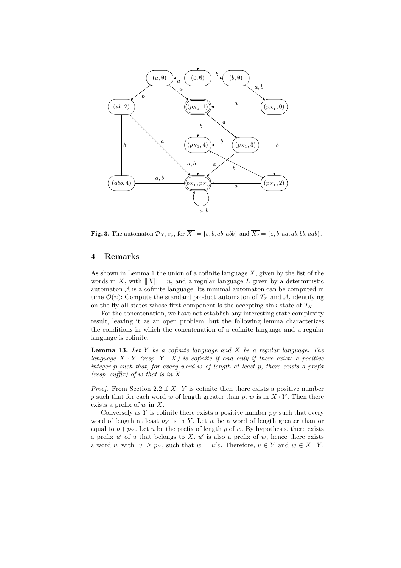

**Fig. 3.** The automaton  $\mathcal{D}_{X_1X_2}$ , for  $X_1 = \{\varepsilon, b, ab, abb\}$  and  $X_2 = \{\varepsilon, b, aa, ab, bb, aab\}$ .

# 4 Remarks

As shown in Lemma 1 the union of a cofinite language  $X$ , given by the list of the words in  $\overline{X}$ , with  $\|\overline{X}\| = n$ , and a regular language L given by a deterministic automaton  $A$  is a cofinite language. Its minimal automaton can be computed in time  $\mathcal{O}(n)$ : Compute the standard product automaton of  $\mathcal{T}_X$  and A, identifying on the fly all states whose first component is the accepting sink state of  $T_X$ .

For the concatenation, we have not establish any interesting state complexity result, leaving it as an open problem, but the following lemma characterizes the conditions in which the concatenation of a cofinite language and a regular language is cofinite.

Lemma 13. *Let* Y *be a cofinite language and* X *be a regular language. The language*  $X \cdot Y$  *(resp.*  $Y \cdot X$ *) is cofinite if and only if there exists a positive integer* p *such that, for every word* w *of length at least* p*, there exists a prefix (resp. suffix) of* w *that is in* X*.*

*Proof.* From Section 2.2 if  $X \cdot Y$  is cofinite then there exists a positive number p such that for each word w of length greater than p, w is in  $X \cdot Y$ . Then there exists a prefix of  $w$  in  $X$ .

Conversely as Y is cofinite there exists a positive number  $p<sub>Y</sub>$  such that every word of length at least  $p<sub>Y</sub>$  is in Y. Let w be a word of length greater than or equal to  $p + p_Y$ . Let u be the prefix of length p of w. By hypothesis, there exists a prefix  $u'$  of u that belongs to X.  $u'$  is also a prefix of w, hence there exists a word v, with  $|v| \geq p_Y$ , such that  $w = u'v$ . Therefore,  $v \in Y$  and  $w \in X \cdot Y$ .